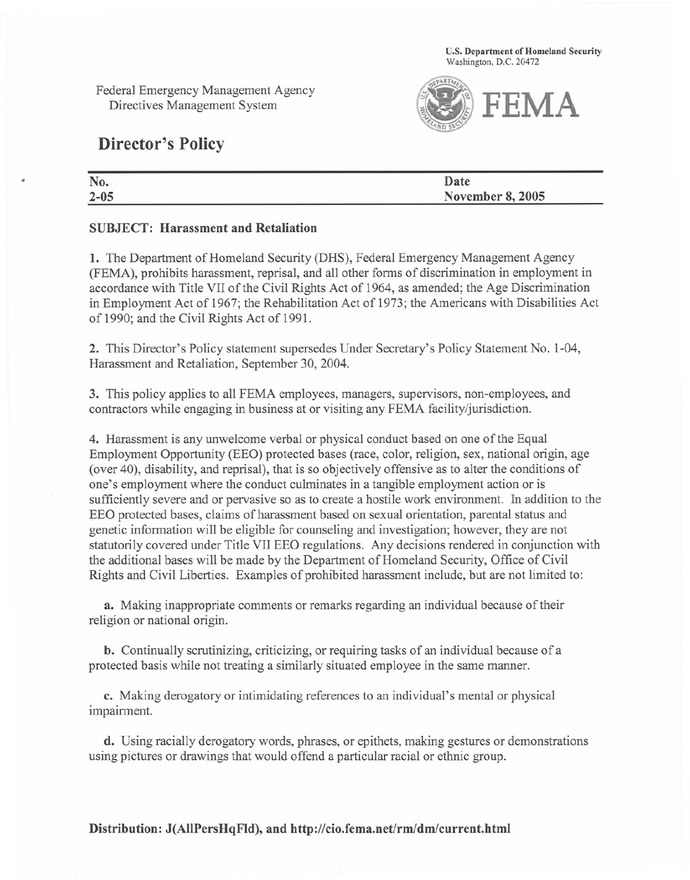U.S. Department of Homeland Security Washington, D.C. 20472

Federal Emergency Management Agency Directives Management System



## Director's Policy

| u.     |                         |
|--------|-------------------------|
| $-0.5$ | <b>November 8, 2005</b> |

## SUBJECT: Harassment and Retaliation

1. The Department of Homeland Security (DHS), Federal Emergency Management Agency (FEMA), prohibits harassment, reprisal, and all other forms of discrimination in employment in accordance with Title VII of the Civil Rights Act of 1964, as amended; the Age Discrimination in Employment Act of 1967; the Rehabilitation Act of 1973; the Americans with Disabilities Act of 1990; and the Civil Rights Act of 1991.

2. This Director's Policy statement supersedes Under Secretary's Policy Statement No. 1-04, Harassment and Retaliation, September 30, 2004.

3. This policy applies to all FEMA employees, managers, supervisors, non-employees, and contractors while engaging in business at or visiting any FEMA facility/jurisdiction.

4. Harassment is any unwelcome verbal or physical conduct based on one of the Equal Employment Opportunity (EEO) protected bases (race, color, religion, sex, national origin, age (over 40), disability, and reprisal), that is so objectively offensive as to alter the conditions of one's employment where the conduct culminatesin a tangible employment action or is sufficiently severe and or pervasive so as to create a hostile work environment. In addition to the EEO protected bases, claims of harassment based on sexual orientation, parental status and genetic information will be eligible for counseling and investigation; however, they are not statutorily covered under Title VII EEO regulations. Any decisions rendered in conjunction with the additional bases will be made by the Department of Homeland Security, Office of Civil Rights and Civil Liberties. Examples of prohibited harassment include, but are not limited to:

a. Making inappropriate comments or remarks regarding an individual because of their religion or national origin.

b. Continually scrutinizing, criticizing, or requiring tasks of an individual because of a protected basis while not treating a similarly situated employee in the same manner.

c. Making derogatory or intimidating references to an individual's mental or physical impairment.

d. Using racially derogatory words, phrases, or epithets, making gestures or demonstrations using pictures or drawings that would offend a particular racial or ethnic group.

Distribution: J(AlIPersHqFld), and http://cio.fema.net/rm/dm/current.html